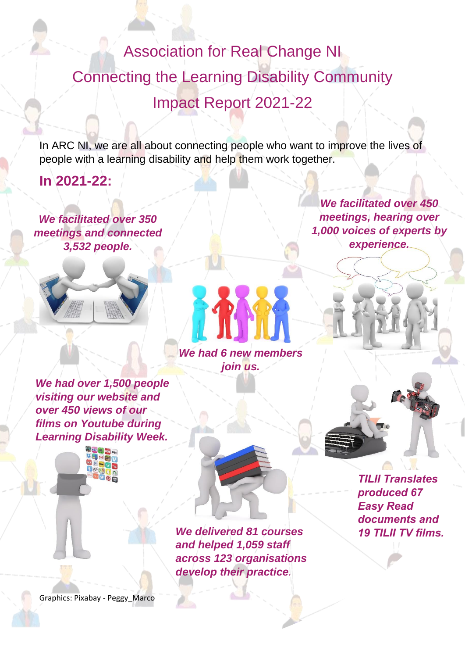Association for Real Change NI Connecting the Learning Disability Community Impact Report 2021-22

In ARC NI, we are all about connecting people who want to improve the lives of people with a learning disability and help them work together.

**In 2021-22:**

*We facilitated over 350 meetings and connected 3,532 people.*



*We had over 1,500 people visiting our website and over 450 views of our films on Youtube during Learning Disability Week.*



*We had 6 new members join us.*

*We delivered 81 courses and helped 1,059 staff across 123 organisations develop their practice.*

*We facilitated over 450 meetings, hearing over 1,000 voices of experts by experience.*



*TILII Translates produced 67 Easy Read documents and 19 TILII TV films.*

Graphics: Pixabay - Peggy\_Marco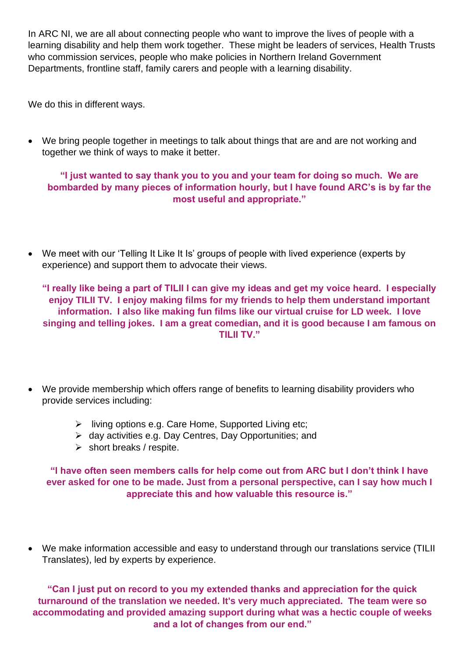In ARC NI, we are all about connecting people who want to improve the lives of people with a learning disability and help them work together. These might be leaders of services, Health Trusts who commission services, people who make policies in Northern Ireland Government Departments, frontline staff, family carers and people with a learning disability.

We do this in different ways.

• We bring people together in meetings to talk about things that are and are not working and together we think of ways to make it better.

## **"I just wanted to say thank you to you and your team for doing so much. We are bombarded by many pieces of information hourly, but I have found ARC's is by far the most useful and appropriate."**

• We meet with our 'Telling It Like It Is' groups of people with lived experience (experts by experience) and support them to advocate their views.

**"I really like being a part of TILII I can give my ideas and get my voice heard. I especially enjoy TILII TV. I enjoy making films for my friends to help them understand important information. I also like making fun films like our virtual cruise for LD week. I love singing and telling jokes. I am a great comedian, and it is good because I am famous on TILII TV."**

- We provide membership which offers range of benefits to learning disability providers who provide services including:
	- ➢ living options e.g. Care Home, Supported Living etc;
	- ➢ day activities e.g. Day Centres, Day Opportunities; and
	- $\triangleright$  short breaks / respite.

## **"I have often seen members calls for help come out from ARC but I don't think I have ever asked for one to be made. Just from a personal perspective, can I say how much I appreciate this and how valuable this resource is."**

• We make information accessible and easy to understand through our translations service (TILII Translates), led by experts by experience.

**"Can I just put on record to you my extended thanks and appreciation for the quick turnaround of the translation we needed. It's very much appreciated. The team were so accommodating and provided amazing support during what was a hectic couple of weeks and a lot of changes from our end."**